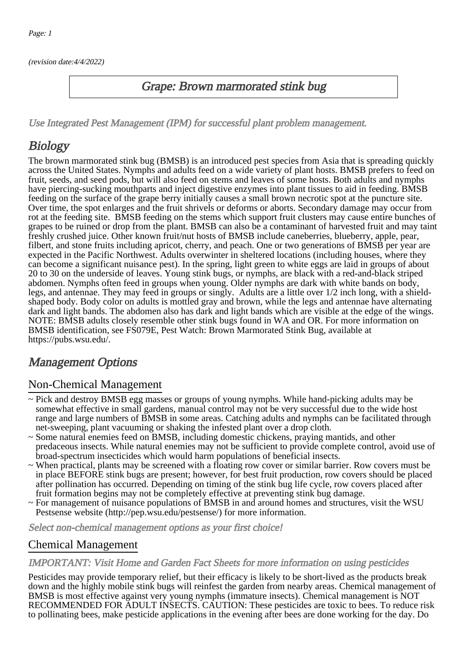(revision date:4/4/2022)

### Grape: Brown marmorated stink bug

[Use Integrated Pest Management \(IPM\) for successful plant problem management.](http://pep.wsu.edu/Home_Garden/H_G_Pesticide_info/urban_Integrated_Pest_Managmen/)

## **Biology**

The brown marmorated stink bug (BMSB) is an introduced pest species from Asia that is spreading quickly across the United States. Nymphs and adults feed on a wide variety of plant hosts. BMSB prefers to feed on fruit, seeds, and seed pods, but will also feed on stems and leaves of some hosts. Both adults and nymphs have piercing-sucking mouthparts and inject digestive enzymes into plant tissues to aid in feeding. BMSB feeding on the surface of the grape berry initially causes a small brown necrotic spot at the puncture site. Over time, the spot enlarges and the fruit shrivels or deforms or aborts. Secondary damage may occur from rot at the feeding site. BMSB feeding on the stems which support fruit clusters may cause entire bunches of grapes to be ruined or drop from the plant. BMSB can also be a contaminant of harvested fruit and may taint freshly crushed juice. Other known fruit/nut hosts of BMSB include caneberries, blueberry, apple, pear, filbert, and stone fruits including apricot, cherry, and peach. One or two generations of BMSB per year are expected in the Pacific Northwest. Adults overwinter in sheltered locations (including houses, where they can become a significant nuisance pest). In the spring, light green to white eggs are laid in groups of about 20 to 30 on the underside of leaves. Young stink bugs, or nymphs, are black with a red-and-black striped abdomen. Nymphs often feed in groups when young. Older nymphs are dark with white bands on body, legs, and antennae. They may feed in groups or singly. Adults are a little over 1/2 inch long, with a shieldshaped body. Body color on adults is mottled gray and brown, while the legs and antennae have alternating dark and light bands. The abdomen also has dark and light bands which are visible at the edge of the wings. NOTE: BMSB adults closely resemble other stink bugs found in WA and OR. For more information on BMSB identification, see FS079E, Pest Watch: Brown Marmorated Stink Bug, available at https://pubs.wsu.edu/.

## Management Options

#### Non-Chemical Management

- ~ Pick and destroy BMSB egg masses or groups of young nymphs. While hand-picking adults may be somewhat effective in small gardens, manual control may not be very successful due to the wide host range and large numbers of BMSB in some areas. Catching adults and nymphs can be facilitated through net-sweeping, plant vacuuming or shaking the infested plant over a drop cloth.
- ~ Some natural enemies feed on BMSB, including domestic chickens, praying mantids, and other predaceous insects. While natural enemies may not be sufficient to provide complete control, avoid use of broad-spectrum insecticides which would harm populations of beneficial insects.
- ~ When practical, plants may be screened with a floating row cover or similar barrier. Row covers must be in place BEFORE stink bugs are present; however, for best fruit production, row covers should be placed after pollination has occurred. Depending on timing of the stink bug life cycle, row covers placed after fruit formation begins may not be completely effective at preventing stink bug damage.
- ~ For management of nuisance populations of BMSB in and around homes and structures, visit the WSU Pestsense website (http://pep.wsu.edu/pestsense/) for more information.

Select non-chemical management options as your first choice!

#### Chemical Management

#### IMPORTANT: [Visit Home and Garden Fact Sheets for more information on using pesticides](http://pep.wsu.edu/Home_Garden/H_G_Pesticide_info/)

Pesticides may provide temporary relief, but their efficacy is likely to be short-lived as the products break down and the highly mobile stink bugs will reinfest the garden from nearby areas. Chemical management of BMSB is most effective against very young nymphs (immature insects). Chemical management is NOT RECOMMENDED FOR ADULT INSECTS. CAUTION: These pesticides are toxic to bees. To reduce risk to pollinating bees, make pesticide applications in the evening after bees are done working for the day. Do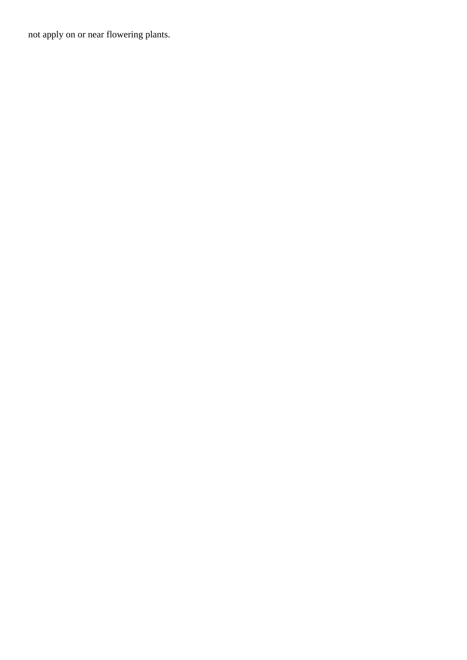not apply on or near flowering plants.